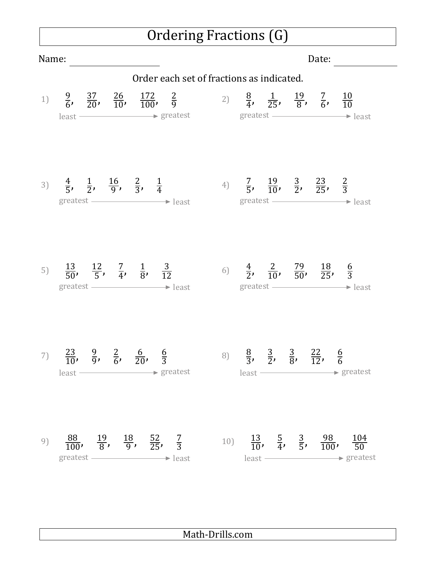## Ordering Fractions (G)